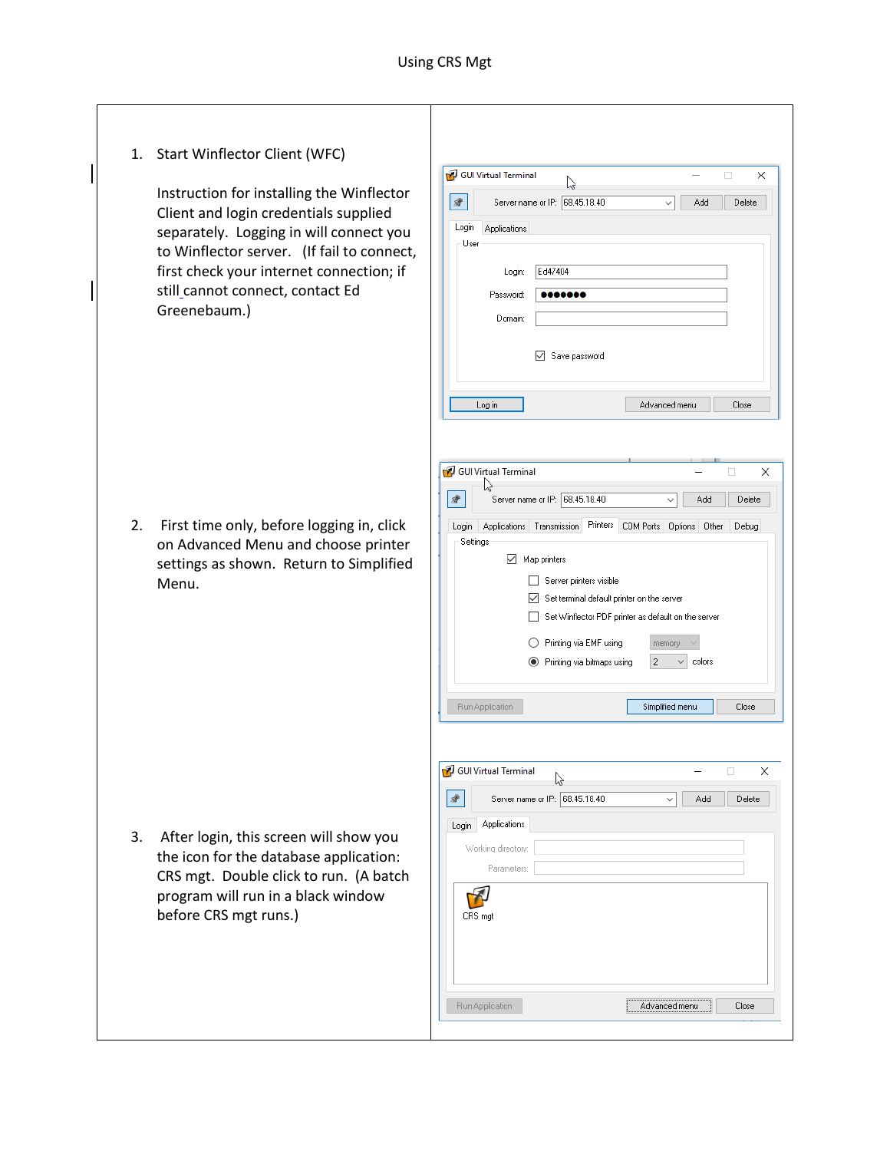1. Start Winflector Client (WFC) GUI Virtual Terminal  $\times$ B Instruction for installing the Winflector  $\left| \frac{1}{2} \right|$ Server name or IP: 68.45.18.40  $\overline{\smile}$  Add Delete Client and login credentials supplied Login Applications separately. Logging in will connect you User to Winflector server. (If fail to connect, first check your internet connection; if Ed47404 Login: still cannot connect, contact Ed Password:  $0000000$ Greenebaum.) Domain Save password Advanced menu Close Log in GUI Virtual Terminal  $\Box$  $\times$ や  $\rightarrow$ Server name or IP: 68.45.18.40 Add Delete |  $\vee$ 2. First time only, before logging in, click Login Applications Transmission Printers COM Ports Options Other Debug Settings on Advanced Menu and choose printer Map printers settings as shown. Return to Simplified Server printers visible Menu. Set terminal default printer on the server Set Winflector PDF printer as default on the server  $\bigcirc$  Printing via EMF using memory  $\smallsmile\overline{\phantom{a}}$  colors ● Printing via bitmaps using  $|2\rangle$ Run Application Simplified menu Close GUI Virtual Terminal  $\times$ ド  $\blacktriangle$ Server name or IP: 68.45.18.40  $\Box$ Delete Add Login Applications 3. After login, this screen will show you Working directory: the icon for the database application: Parameters: CRS mgt. Double click to run. (A batch program will run in a black window  $\mathcal{F}$ before CRS mgt runs.)CRS mgt Run Application Advanced menu Close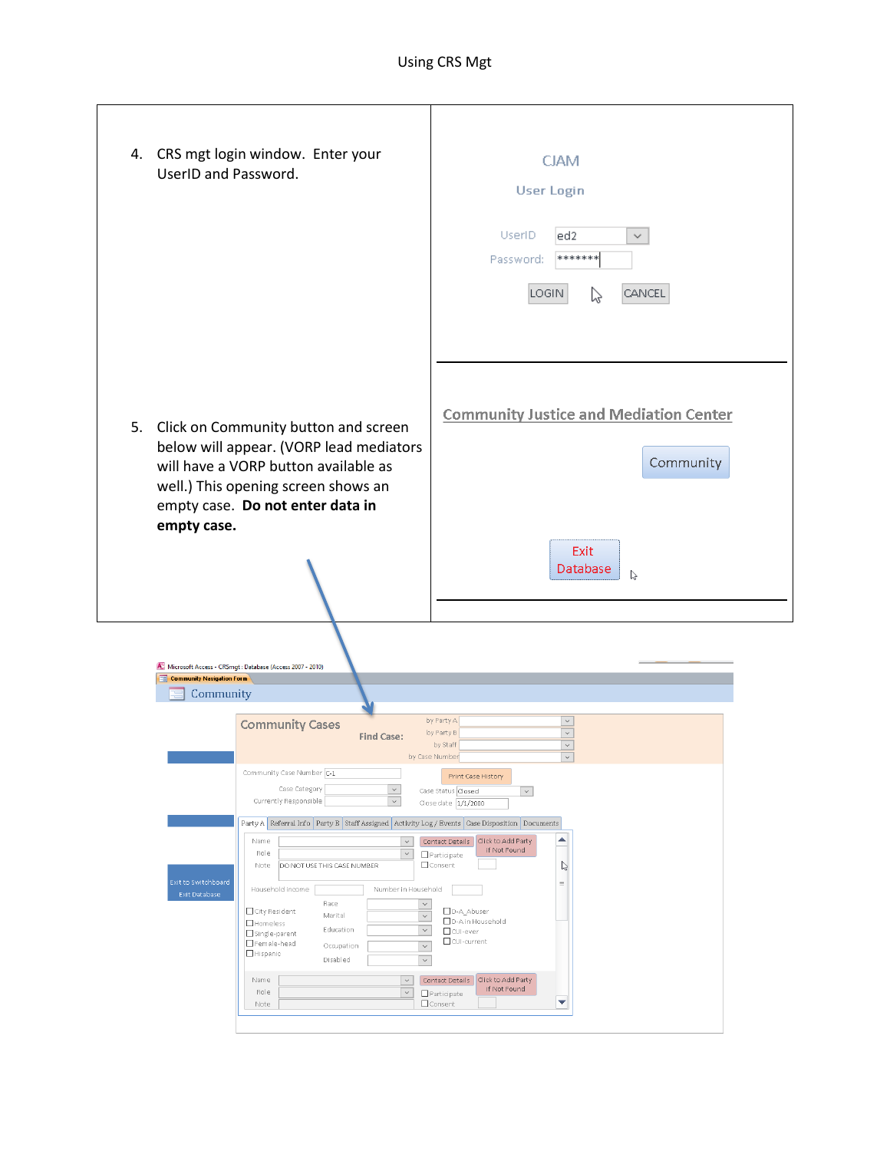| 4. CRS mgt login window. Enter your<br>UserID and Password.                                                                                                                                                                                                                                                                                                                                                                                                                                                                                                                                                                                                                                                                                                                                                                                                                                                                                                                                                                                                                                                                                                                                                                                                                                                                                          | <b>CJAM</b><br><b>User Login</b><br><b>UserID</b><br>led2.<br>$\checkmark$<br>*******<br>Password:<br>LOGIN<br>CANCEL<br>じ |
|------------------------------------------------------------------------------------------------------------------------------------------------------------------------------------------------------------------------------------------------------------------------------------------------------------------------------------------------------------------------------------------------------------------------------------------------------------------------------------------------------------------------------------------------------------------------------------------------------------------------------------------------------------------------------------------------------------------------------------------------------------------------------------------------------------------------------------------------------------------------------------------------------------------------------------------------------------------------------------------------------------------------------------------------------------------------------------------------------------------------------------------------------------------------------------------------------------------------------------------------------------------------------------------------------------------------------------------------------|----------------------------------------------------------------------------------------------------------------------------|
| 5. Click on Community button and screen<br>below will appear. (VORP lead mediators<br>will have a VORP button available as<br>well.) This opening screen shows an<br>empty case. Do not enter data in<br>empty case.                                                                                                                                                                                                                                                                                                                                                                                                                                                                                                                                                                                                                                                                                                                                                                                                                                                                                                                                                                                                                                                                                                                                 | <b>Community Justice and Mediation Center</b><br>Community<br>Exit<br>Database<br>ド                                        |
| M. Microsoft Access - CRSmgt: Database (Access 2007 - 2010)<br><b>EB</b> Community Navigation Form<br>Community<br>by Party A<br>$\checkmark$<br><b>Community Cases</b><br>$\overline{\phantom{0}}$<br>by Party B<br><b>Find Case:</b><br>$\overline{\phantom{0}}$<br>by Staff<br>by Case Number<br>$\checkmark$<br>Community Case Number C-1<br>Print Case History<br>Case Category<br>$\checkmark$<br>Case Status Closed<br>$\backsim$<br>Currently Responsible<br>$\checkmark$<br>Close date 1/1/2000<br>Party A Referral Info Party B Staff Assigned Activity Log / Events Case Disposition Documents<br>▲<br>Contact Details Click to Add Party<br>Name<br>$\smallsmile$<br>if Not Found<br>Role<br>$\checkmark$<br>Participate<br>$\mathbb{P}$<br>□ Consent<br>Note<br>DO NOT USE THIS CASE NUMBER<br>Exit to Switchboard<br>$\equiv$<br>Number in Household<br>Household income<br>Exit Database<br>Race<br>$\checkmark$<br>□ City Resident<br>D-A_Abuser<br>Marital<br>$\checkmark$<br>D-Ain Household<br>$\Box$ Homeless<br>Education<br>$\check{~}$<br>$\Box$ CUI-ever<br>Single-parent<br>□ CUI-current<br>Female-head<br>Occupation<br>$\checkmark$<br>Hispanic<br>Disabled<br>$\checkmark$<br>Contact Details Click to Add Party<br>Name<br>$\checkmark$<br>if Not Found<br>Role<br>$\checkmark$<br>Participate<br>▼<br>Consent<br>Note |                                                                                                                            |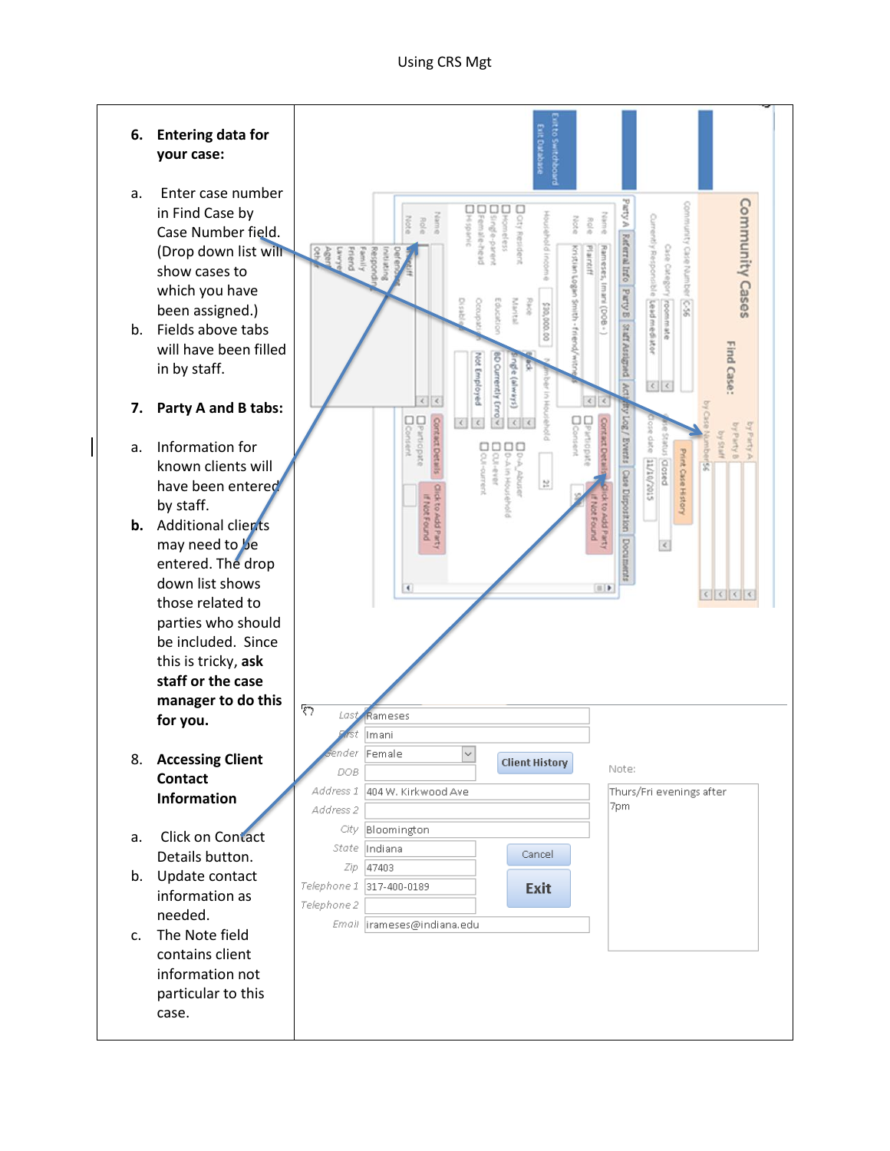**6. Entering data for your case:** a. Enter case number Daty Resident<br>Discondess<br>Discoge-parent<br>Distiganic<br>Distiganic Community Cases w Kum in Find Case by **Note** Role Note Role Case Number field. **Referral Info Party B Staff Assigned** ntiy Respo Case Category esto. (Drop down list will Kristian Logan Smith Plaintif puak. show cases to BOQ) insert which you have uscon  $\overline{\mathcal{L}}$ š Lead mediator been assigned.) b. Fields above tabs iners ă Find Case: will have been filled **State**<br>**BO Currently English United** in by staff.  $\frac{1}{2}$  $\left| \left| \right| \right|$  $\epsilon$  $\left\langle \cdot \right\rangle$ **7. Party A and B tabs:**  DParticipal<br>Diconsent **D**Partis Log/Events Case Disposition Contact Detail by Party B by Party A by Staff date a. Information for Dow Do.A atus closed Dou-ever **Downh** Print Case Hi STOZ/OT/TT known clients will ķ  $\mathbb{R}$ have been entered by staff. **b.** Additional clients may need to be g  $\langle$ entered. The drop down list shows  $\boxed{\equiv \; \mid \; \blacktriangleright}$ those related to parties who should be included. Since this is tricky, **ask staff or the case manager to do this**   $\overline{\mathcal{E}}$ Last Rameses **for you.** Imani nder Female  $\overline{\mathbf{v}}$ 8. **Accessing Client Client History** Note: DOB **Contact**  Address 1 404 W. Kirkwood Ave Thurs/Fri evenings after **Information** 7pm Address<sub>2</sub> City Bloomington a. Click on Contact State Indiana Cancel Details button. Zip 47403 b. Update contact Telephone 1 317-400-0189 Exit information as Telephone 2 needed. Email *irameses@indiana.edu* c. The Note field contains client information not particular to this case.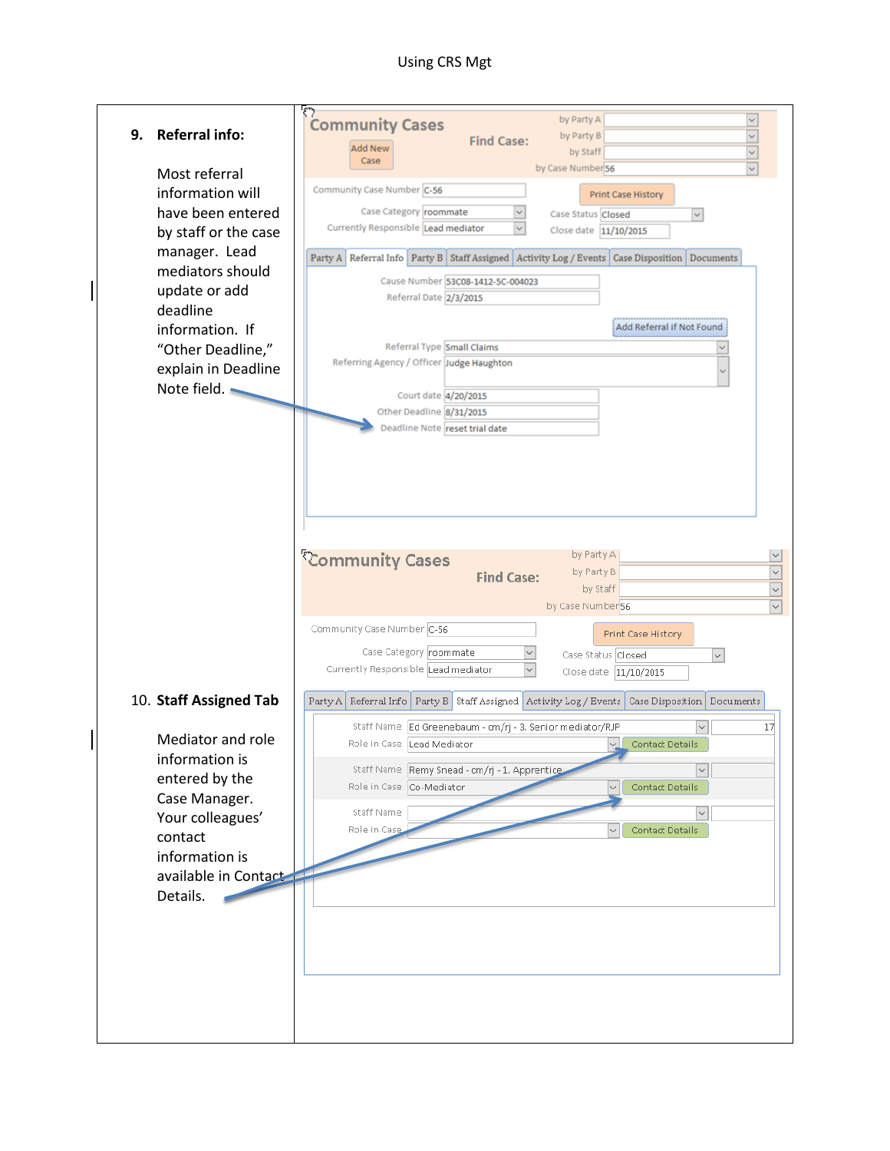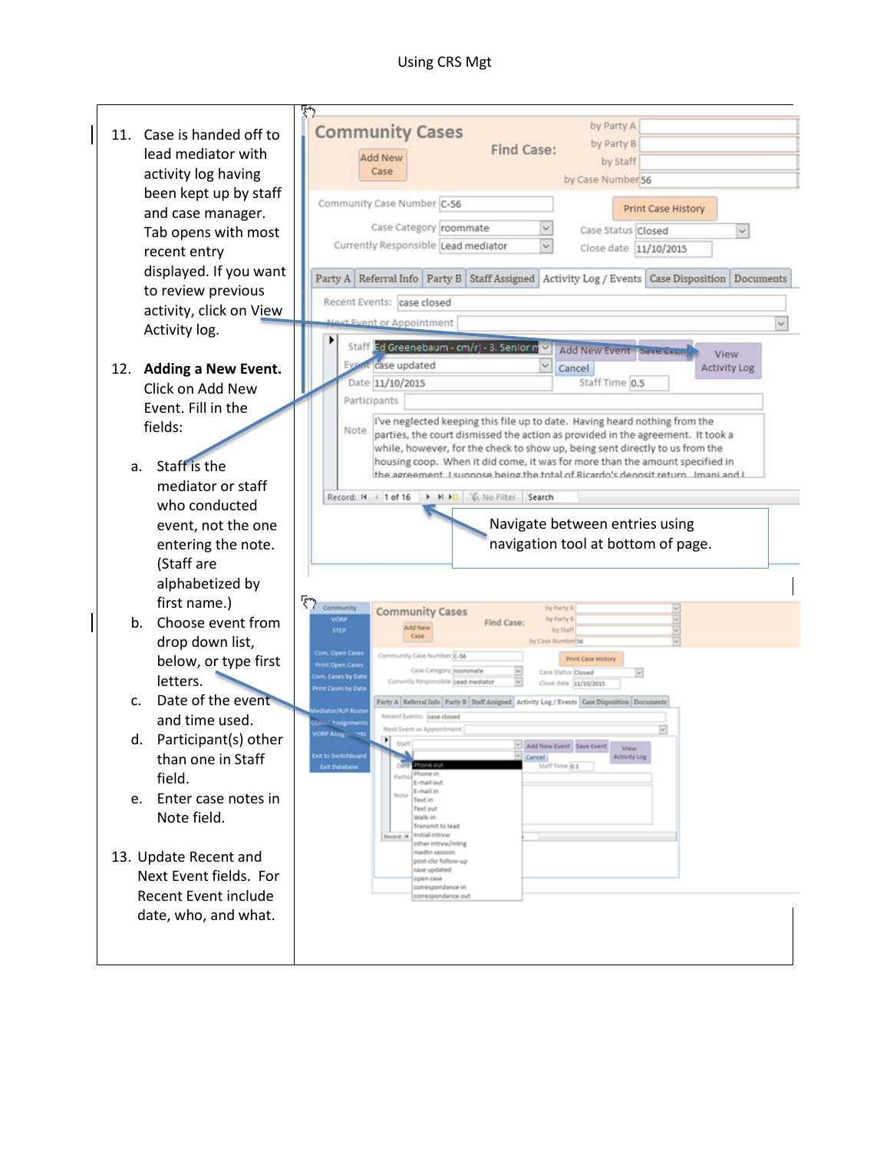